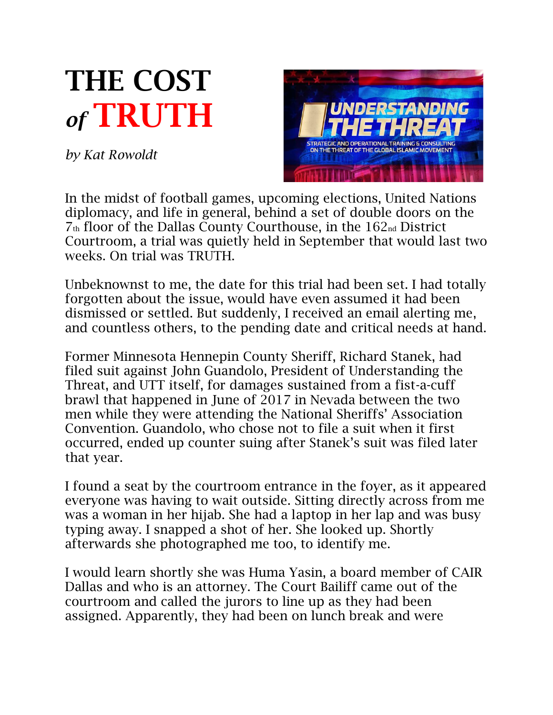## THE COST *of* TRUTH

*by Kat Rowoldt*



In the midst of football games, upcoming elections, United Nations diplomacy, and life in general, behind a set of double doors on the 7th floor of the Dallas County Courthouse, in the 162nd District Courtroom, a trial was quietly held in September that would last two weeks. On trial was TRUTH.

Unbeknownst to me, the date for this trial had been set. I had totally forgotten about the issue, would have even assumed it had been dismissed or settled. But suddenly, I received an email alerting me, and countless others, to the pending date and critical needs at hand.

Former Minnesota Hennepin County Sheriff, Richard Stanek, had filed suit against John Guandolo, President of Understanding the Threat, and UTT itself, for damages sustained from a fist-a-cuff brawl that happened in June of 2017 in Nevada between the two men while they were attending the National Sheriffs' Association Convention. Guandolo, who chose not to file a suit when it first occurred, ended up counter suing after Stanek's suit was filed later that year.

I found a seat by the courtroom entrance in the foyer, as it appeared everyone was having to wait outside. Sitting directly across from me was a woman in her hijab. She had a laptop in her lap and was busy typing away. I snapped a shot of her. She looked up. Shortly afterwards she photographed me too, to identify me.

I would learn shortly she was Huma Yasin, a board member of CAIR Dallas and who is an attorney. The Court Bailiff came out of the courtroom and called the jurors to line up as they had been assigned. Apparently, they had been on lunch break and were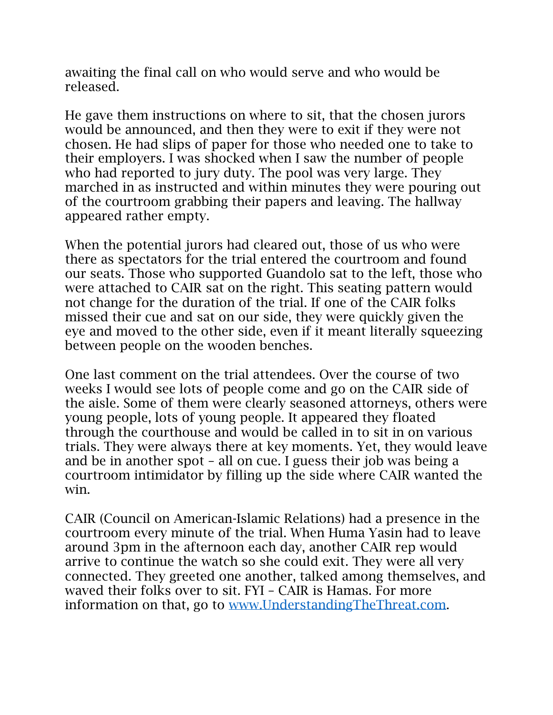awaiting the final call on who would serve and who would be released.

He gave them instructions on where to sit, that the chosen jurors would be announced, and then they were to exit if they were not chosen. He had slips of paper for those who needed one to take to their employers. I was shocked when I saw the number of people who had reported to jury duty. The pool was very large. They marched in as instructed and within minutes they were pouring out of the courtroom grabbing their papers and leaving. The hallway appeared rather empty.

When the potential jurors had cleared out, those of us who were there as spectators for the trial entered the courtroom and found our seats. Those who supported Guandolo sat to the left, those who were attached to CAIR sat on the right. This seating pattern would not change for the duration of the trial. If one of the CAIR folks missed their cue and sat on our side, they were quickly given the eye and moved to the other side, even if it meant literally squeezing between people on the wooden benches.

One last comment on the trial attendees. Over the course of two weeks I would see lots of people come and go on the CAIR side of the aisle. Some of them were clearly seasoned attorneys, others were young people, lots of young people. It appeared they floated through the courthouse and would be called in to sit in on various trials. They were always there at key moments. Yet, they would leave and be in another spot – all on cue. I guess their job was being a courtroom intimidator by filling up the side where CAIR wanted the win.

CAIR (Council on American-Islamic Relations) had a presence in the courtroom every minute of the trial. When Huma Yasin had to leave around 3pm in the afternoon each day, another CAIR rep would arrive to continue the watch so she could exit. They were all very connected. They greeted one another, talked among themselves, and waved their folks over to sit. FYI – CAIR is Hamas. For more information on that, go to [www.UnderstandingTheThreat.com.](http://www.understandingthethreat.com/)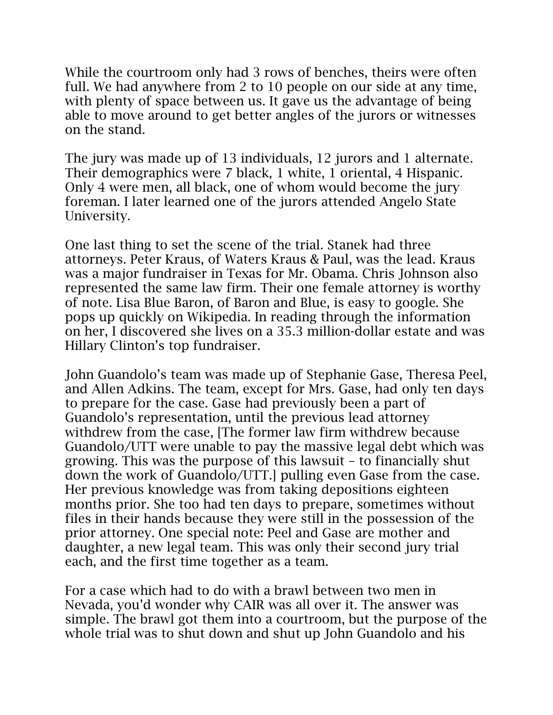While the courtroom only had 3 rows of benches, theirs were often full. We had anywhere from 2 to 10 people on our side at any time, with plenty of space between us. It gave us the advantage of being able to move around to get better angles of the jurors or witnesses on the stand.

The jury was made up of 13 individuals, 12 jurors and 1 alternate. Their demographics were 7 black, 1 white, 1 oriental, 4 Hispanic. Only 4 were men, all black, one of whom would become the jury foreman. I later learned one of the jurors attended Angelo State University.

One last thing to set the scene of the trial. Stanek had three attorneys. Peter Kraus, of Waters Kraus & Paul, was the lead. Kraus was a major fundraiser in Texas for Mr. Obama. Chris Johnson also represented the same law firm. Their one female attorney is worthy of note. Lisa Blue Baron, of Baron and Blue, is easy to google. She pops up quickly on Wikipedia. In reading through the information on her, I discovered she lives on a 35.3 million-dollar estate and was Hillary Clinton's top fundraiser.

John Guandolo's team was made up of Stephanie Gase, Theresa Peel, and Allen Adkins. The team, except for Mrs. Gase, had only ten days to prepare for the case. Gase had previously been a part of Guandolo's representation, until the previous lead attorney withdrew from the case, [The former law firm withdrew because Guandolo/UTT were unable to pay the massive legal debt which was growing. This was the purpose of this lawsuit – to financially shut down the work of Guandolo/UTT.] pulling even Gase from the case. Her previous knowledge was from taking depositions eighteen months prior. She too had ten days to prepare, sometimes without files in their hands because they were still in the possession of the prior attorney. One special note: Peel and Gase are mother and daughter, a new legal team. This was only their second jury trial each, and the first time together as a team.

For a case which had to do with a brawl between two men in Nevada, you'd wonder why CAIR was all over it. The answer was simple. The brawl got them into a courtroom, but the purpose of the whole trial was to shut down and shut up John Guandolo and his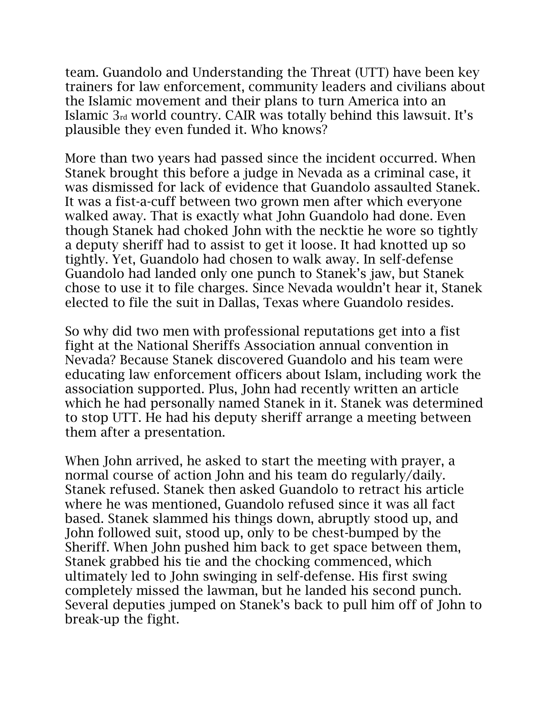team. Guandolo and Understanding the Threat (UTT) have been key trainers for law enforcement, community leaders and civilians about the Islamic movement and their plans to turn America into an Islamic 3rd world country. CAIR was totally behind this lawsuit. It's plausible they even funded it. Who knows?

More than two years had passed since the incident occurred. When Stanek brought this before a judge in Nevada as a criminal case, it was dismissed for lack of evidence that Guandolo assaulted Stanek. It was a fist-a-cuff between two grown men after which everyone walked away. That is exactly what John Guandolo had done. Even though Stanek had choked John with the necktie he wore so tightly a deputy sheriff had to assist to get it loose. It had knotted up so tightly. Yet, Guandolo had chosen to walk away. In self-defense Guandolo had landed only one punch to Stanek's jaw, but Stanek chose to use it to file charges. Since Nevada wouldn't hear it, Stanek elected to file the suit in Dallas, Texas where Guandolo resides.

So why did two men with professional reputations get into a fist fight at the National Sheriffs Association annual convention in Nevada? Because Stanek discovered Guandolo and his team were educating law enforcement officers about Islam, including work the association supported. Plus, John had recently written an article which he had personally named Stanek in it. Stanek was determined to stop UTT. He had his deputy sheriff arrange a meeting between them after a presentation.

When John arrived, he asked to start the meeting with prayer, a normal course of action John and his team do regularly/daily. Stanek refused. Stanek then asked Guandolo to retract his article where he was mentioned, Guandolo refused since it was all fact based. Stanek slammed his things down, abruptly stood up, and John followed suit, stood up, only to be chest-bumped by the Sheriff. When John pushed him back to get space between them, Stanek grabbed his tie and the chocking commenced, which ultimately led to John swinging in self-defense. His first swing completely missed the lawman, but he landed his second punch. Several deputies jumped on Stanek's back to pull him off of John to break-up the fight.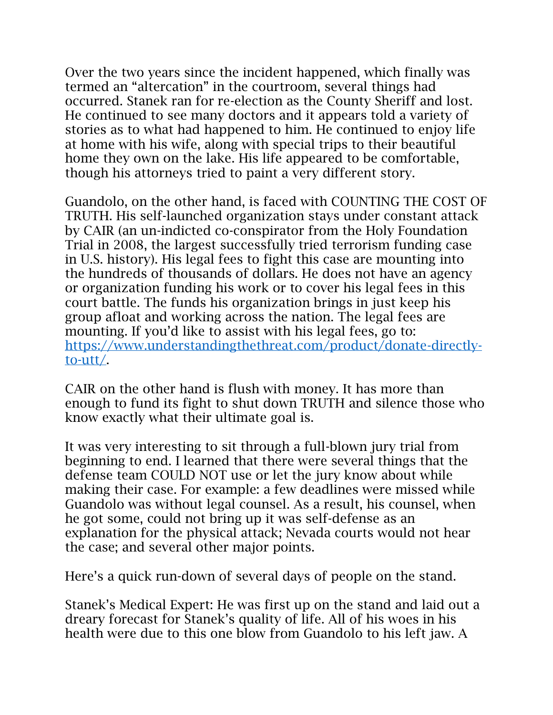Over the two years since the incident happened, which finally was termed an "altercation" in the courtroom, several things had occurred. Stanek ran for re-election as the County Sheriff and lost. He continued to see many doctors and it appears told a variety of stories as to what had happened to him. He continued to enjoy life at home with his wife, along with special trips to their beautiful home they own on the lake. His life appeared to be comfortable, though his attorneys tried to paint a very different story.

Guandolo, on the other hand, is faced with COUNTING THE COST OF TRUTH. His self-launched organization stays under constant attack by CAIR (an un-indicted co-conspirator from the Holy Foundation Trial in 2008, the largest successfully tried terrorism funding case in U.S. history). His legal fees to fight this case are mounting into the hundreds of thousands of dollars. He does not have an agency or organization funding his work or to cover his legal fees in this court battle. The funds his organization brings in just keep his group afloat and working across the nation. The legal fees are mounting. If you'd like to assist with his legal fees, go to: [https://www.understandingthethreat.com/product/donate-directly](https://www.understandingthethreat.com/product/donate-directly-to-utt/)[to-utt/.](https://www.understandingthethreat.com/product/donate-directly-to-utt/)

CAIR on the other hand is flush with money. It has more than enough to fund its fight to shut down TRUTH and silence those who know exactly what their ultimate goal is.

It was very interesting to sit through a full-blown jury trial from beginning to end. I learned that there were several things that the defense team COULD NOT use or let the jury know about while making their case. For example: a few deadlines were missed while Guandolo was without legal counsel. As a result, his counsel, when he got some, could not bring up it was self-defense as an explanation for the physical attack; Nevada courts would not hear the case; and several other major points.

Here's a quick run-down of several days of people on the stand.

Stanek's Medical Expert: He was first up on the stand and laid out a dreary forecast for Stanek's quality of life. All of his woes in his health were due to this one blow from Guandolo to his left jaw. A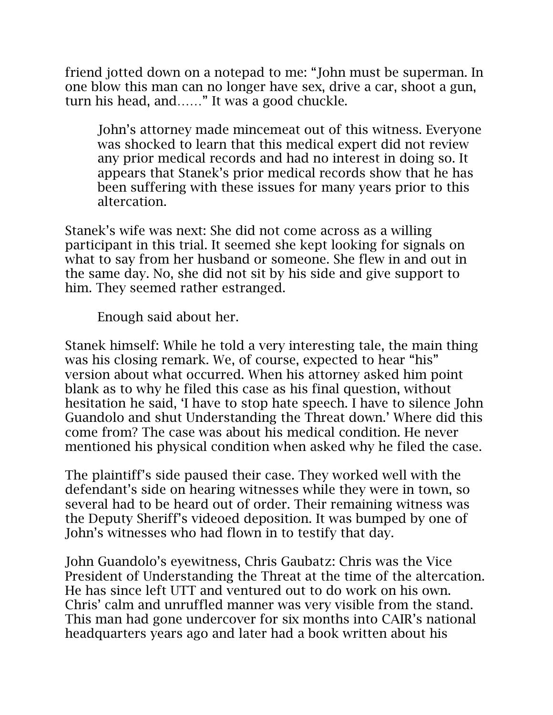friend jotted down on a notepad to me: "John must be superman. In one blow this man can no longer have sex, drive a car, shoot a gun, turn his head, and……" It was a good chuckle.

John's attorney made mincemeat out of this witness. Everyone was shocked to learn that this medical expert did not review any prior medical records and had no interest in doing so. It appears that Stanek's prior medical records show that he has been suffering with these issues for many years prior to this altercation.

Stanek's wife was next: She did not come across as a willing participant in this trial. It seemed she kept looking for signals on what to say from her husband or someone. She flew in and out in the same day. No, she did not sit by his side and give support to him. They seemed rather estranged.

Enough said about her.

Stanek himself: While he told a very interesting tale, the main thing was his closing remark. We, of course, expected to hear "his" version about what occurred. When his attorney asked him point blank as to why he filed this case as his final question, without hesitation he said, 'I have to stop hate speech. I have to silence John Guandolo and shut Understanding the Threat down.' Where did this come from? The case was about his medical condition. He never mentioned his physical condition when asked why he filed the case.

The plaintiff's side paused their case. They worked well with the defendant's side on hearing witnesses while they were in town, so several had to be heard out of order. Their remaining witness was the Deputy Sheriff's videoed deposition. It was bumped by one of John's witnesses who had flown in to testify that day.

John Guandolo's eyewitness, Chris Gaubatz: Chris was the Vice President of Understanding the Threat at the time of the altercation. He has since left UTT and ventured out to do work on his own. Chris' calm and unruffled manner was very visible from the stand. This man had gone undercover for six months into CAIR's national headquarters years ago and later had a book written about his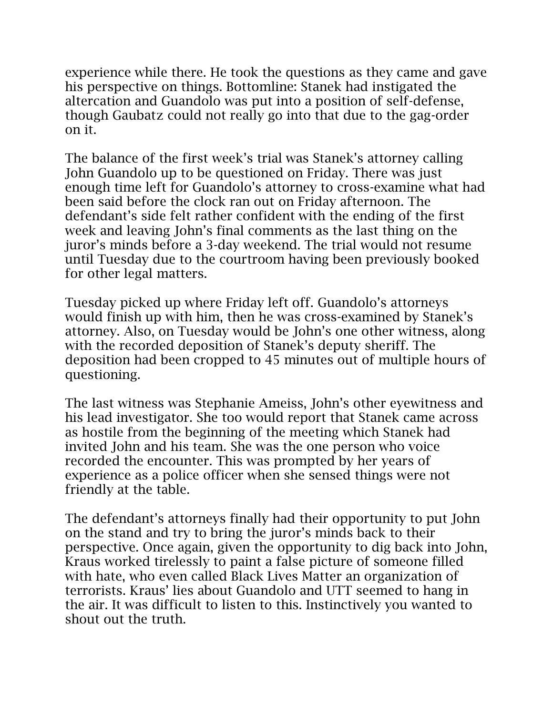experience while there. He took the questions as they came and gave his perspective on things. Bottomline: Stanek had instigated the altercation and Guandolo was put into a position of self-defense, though Gaubatz could not really go into that due to the gag-order on it.

The balance of the first week's trial was Stanek's attorney calling John Guandolo up to be questioned on Friday. There was just enough time left for Guandolo's attorney to cross-examine what had been said before the clock ran out on Friday afternoon. The defendant's side felt rather confident with the ending of the first week and leaving John's final comments as the last thing on the juror's minds before a 3-day weekend. The trial would not resume until Tuesday due to the courtroom having been previously booked for other legal matters.

Tuesday picked up where Friday left off. Guandolo's attorneys would finish up with him, then he was cross-examined by Stanek's attorney. Also, on Tuesday would be John's one other witness, along with the recorded deposition of Stanek's deputy sheriff. The deposition had been cropped to 45 minutes out of multiple hours of questioning.

The last witness was Stephanie Ameiss, John's other eyewitness and his lead investigator. She too would report that Stanek came across as hostile from the beginning of the meeting which Stanek had invited John and his team. She was the one person who voice recorded the encounter. This was prompted by her years of experience as a police officer when she sensed things were not friendly at the table.

The defendant's attorneys finally had their opportunity to put John on the stand and try to bring the juror's minds back to their perspective. Once again, given the opportunity to dig back into John, Kraus worked tirelessly to paint a false picture of someone filled with hate, who even called Black Lives Matter an organization of terrorists. Kraus' lies about Guandolo and UTT seemed to hang in the air. It was difficult to listen to this. Instinctively you wanted to shout out the truth.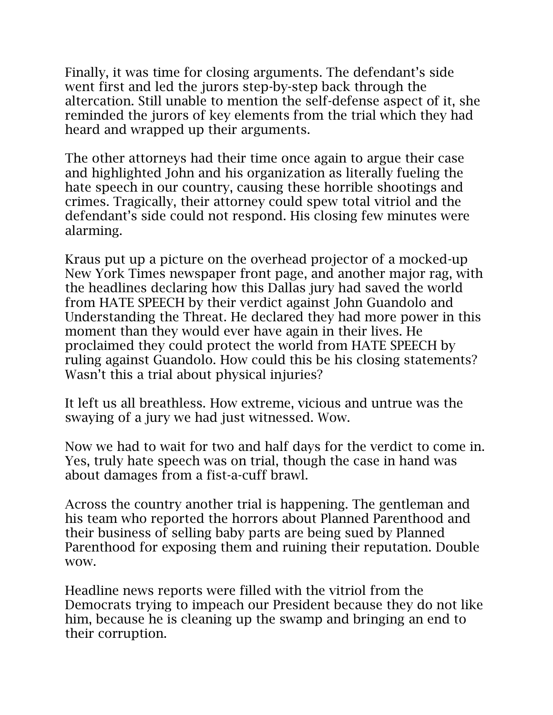Finally, it was time for closing arguments. The defendant's side went first and led the jurors step-by-step back through the altercation. Still unable to mention the self-defense aspect of it, she reminded the jurors of key elements from the trial which they had heard and wrapped up their arguments.

The other attorneys had their time once again to argue their case and highlighted John and his organization as literally fueling the hate speech in our country, causing these horrible shootings and crimes. Tragically, their attorney could spew total vitriol and the defendant's side could not respond. His closing few minutes were alarming.

Kraus put up a picture on the overhead projector of a mocked-up New York Times newspaper front page, and another major rag, with the headlines declaring how this Dallas jury had saved the world from HATE SPEECH by their verdict against John Guandolo and Understanding the Threat. He declared they had more power in this moment than they would ever have again in their lives. He proclaimed they could protect the world from HATE SPEECH by ruling against Guandolo. How could this be his closing statements? Wasn't this a trial about physical injuries?

It left us all breathless. How extreme, vicious and untrue was the swaying of a jury we had just witnessed. Wow.

Now we had to wait for two and half days for the verdict to come in. Yes, truly hate speech was on trial, though the case in hand was about damages from a fist-a-cuff brawl.

Across the country another trial is happening. The gentleman and his team who reported the horrors about Planned Parenthood and their business of selling baby parts are being sued by Planned Parenthood for exposing them and ruining their reputation. Double wow.

Headline news reports were filled with the vitriol from the Democrats trying to impeach our President because they do not like him, because he is cleaning up the swamp and bringing an end to their corruption.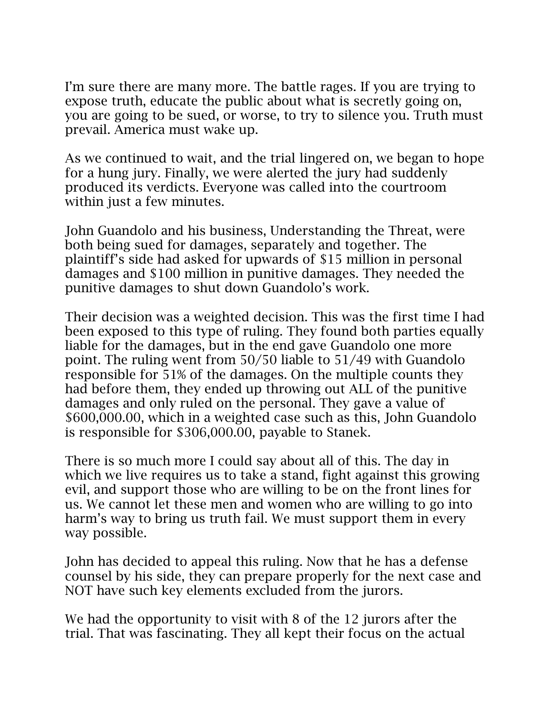I'm sure there are many more. The battle rages. If you are trying to expose truth, educate the public about what is secretly going on, you are going to be sued, or worse, to try to silence you. Truth must prevail. America must wake up.

As we continued to wait, and the trial lingered on, we began to hope for a hung jury. Finally, we were alerted the jury had suddenly produced its verdicts. Everyone was called into the courtroom within just a few minutes.

John Guandolo and his business, Understanding the Threat, were both being sued for damages, separately and together. The plaintiff's side had asked for upwards of \$15 million in personal damages and \$100 million in punitive damages. They needed the punitive damages to shut down Guandolo's work.

Their decision was a weighted decision. This was the first time I had been exposed to this type of ruling. They found both parties equally liable for the damages, but in the end gave Guandolo one more point. The ruling went from 50/50 liable to 51/49 with Guandolo responsible for 51% of the damages. On the multiple counts they had before them, they ended up throwing out ALL of the punitive damages and only ruled on the personal. They gave a value of \$600,000.00, which in a weighted case such as this, John Guandolo is responsible for \$306,000.00, payable to Stanek.

There is so much more I could say about all of this. The day in which we live requires us to take a stand, fight against this growing evil, and support those who are willing to be on the front lines for us. We cannot let these men and women who are willing to go into harm's way to bring us truth fail. We must support them in every way possible.

John has decided to appeal this ruling. Now that he has a defense counsel by his side, they can prepare properly for the next case and NOT have such key elements excluded from the jurors.

We had the opportunity to visit with 8 of the 12 jurors after the trial. That was fascinating. They all kept their focus on the actual